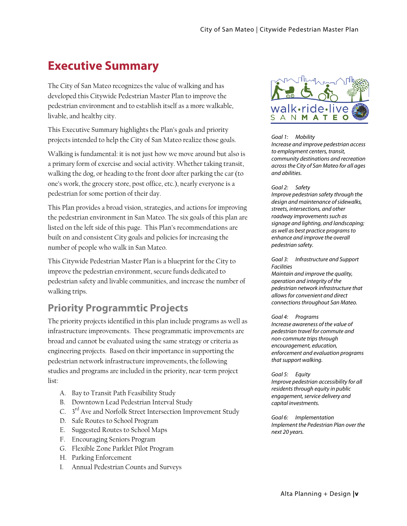# **Executive Summary**

The City of San Mateo recognizes the value of walking and has developed this Citywide Pedestrian Master Plan to improve the pedestrian environment and to establish itself as a more walkable, livable, and healthy city.

This Executive Summary highlights the Plan's goals and priority projects intended to help the City of San Mateo realize those goals.

Walking is fundamental: it is not just how we move around but also is a primary form of exercise and social activity. Whether taking transit, walking the dog, or heading to the front door after parking the car (to one's work, the grocery store, post office, etc.), nearly everyone is a pedestrian for some portion of their day.

This Plan provides a broad vision, strategies, and actions for improving the pedestrian environment in San Mateo. The six goals of this plan are listed on the left side of this page. This Plan's recommendations are built on and consistent City goals and policies for increasing the number of people who walk in San Mateo.

This Citywide Pedestrian Master Plan is a blueprint for the City to improve the pedestrian environment, secure funds dedicated to pedestrian safety and livable communities, and increase the number of walking trips.

### **Priority Programmtic Projects**

The priority projects identified in this plan include programs as well as infrastructure improvements. These programmatic improvements are broad and cannot be evaluated using the same strategy or criteria as engineering projects. Based on their importance in supporting the pedestrian network infrastructure improvements, the following studies and programs are included in the priority, near-term project list:

- A. Bay to Transit Path Feasibility Study
- B. Downtown Lead Pedestrian Interval Study
- C. 3<sup>rd</sup> Ave and Norfolk Street Intersection Improvement Study
- D. Safe Routes to School Program
- E. Suggested Routes to School Maps
- F. Encouraging Seniors Program
- G. Flexible Zone Parklet Pilot Program
- H. Parking Enforcement
- I. Annual Pedestrian Counts and Surveys



Goal 1: Mobility Increase and improve pedestrian access to employment centers, transit, community destinations and recreation across the City of San Mateo for all ages and abilities.

Goal 2: Safety

Improve pedestrian safety through the design and maintenance of sidewalks, streets, intersections, and other roadway improvements such as signage and lighting, and landscaping; as well as best practice programs to enhance and improve the overall pedestrian safety.

Goal 3: Infrastructure and Support Facilities Maintain and improve the quality, operation and integrity of the pedestrian network infrastructure that allows for convenient and direct connections throughout San Mateo.

#### Goal 4: Programs

Increase awareness of the value of pedestrian travel for commute and non-commute trips through encouragement, education, enforcement and evaluation programs that support walking.

Goal 5: Equity Improve pedestrian accessibility for all residents through equity in public engagement, service delivery and capital investments.

Goal 6: Implementation Implement the Pedestrian Plan over the next 20 years.